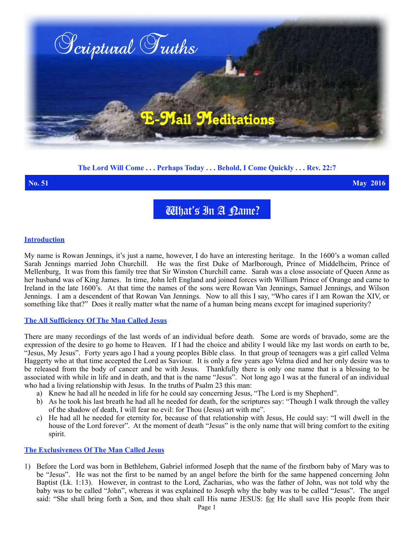

# **The Lord Will Come . . . Perhaps Today . . . Behold, I Come Quickly . . . Rev. 22:7**

**No. 51 May 2016**

What's In A Rame?

#### **Introduction**

My name is Rowan Jennings, it's just a name, however, I do have an interesting heritage. In the 1600's a woman called Sarah Jennings married John Churchill. He was the first Duke of Marlborough, Prince of Middelheim, Prince of Mellenburg, It was from this family tree that Sir Winston Churchill came. Sarah was a close associate of Queen Anne as her husband was of King James. In time, John left England and joined forces with William Prince of Orange and came to Ireland in the late 1600's. At that time the names of the sons were Rowan Van Jennings, Samuel Jennings, and Wilson Jennings. I am a descendent of that Rowan Van Jennings. Now to all this I say, "Who cares if I am Rowan the XIV, or something like that?" Does it really matter what the name of a human being means except for imagined superiority?

### **The All Sufficiency Of The Man Called Jesus**

There are many recordings of the last words of an individual before death. Some are words of bravado, some are the expression of the desire to go home to Heaven. If I had the choice and ability I would like my last words on earth to be, "Jesus, My Jesus". Forty years ago I had a young peoples Bible class. In that group of teenagers was a girl called Velma Haggerty who at that time accepted the Lord as Saviour. It is only a few years ago Velma died and her only desire was to be released from the body of cancer and be with Jesus. Thankfully there is only one name that is a blessing to be associated with while in life and in death, and that is the name "Jesus". Not long ago I was at the funeral of an individual who had a living relationship with Jesus. In the truths of Psalm 23 this man:

- a) Knew he had all he needed in life for he could say concerning Jesus, "The Lord is my Shepherd".
- b) As he took his last breath he had all he needed for death, for the scriptures say: "Though I walk through the valley of the shadow of death, I will fear no evil: for Thou (Jesus) art with me".
- c) He had all he needed for eternity for, because of that relationship with Jesus, He could say: "I will dwell in the house of the Lord forever". At the moment of death "Jesus" is the only name that will bring comfort to the exiting spirit.

#### **The Exclusiveness Of The Man Called Jesus**

1) Before the Lord was born in Bethlehem, Gabriel informed Joseph that the name of the firstborn baby of Mary was to be "Jesus". He was not the first to be named by an angel before the birth for the same happened concerning John Baptist (Lk. 1:13). However, in contrast to the Lord, Zacharias, who was the father of John, was not told why the baby was to be called "John", whereas it was explained to Joseph why the baby was to be called "Jesus". The angel said: "She shall bring forth a Son, and thou shalt call His name JESUS: for He shall save His people from their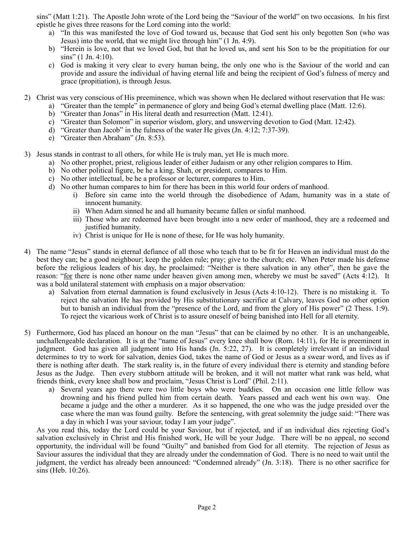sins" (Matt 1:21). The Apostle John wrote of the Lord being the "Saviour of the world" on two occasions. In his first epistle he gives three reasons for the Lord coming into the world:

- a) "In this was manifested the love of God toward us, because that God sent his only begotten Son (who was Jesus) into the world, that we might live through him" (1 Jn. 4:9).
- b) "Herein is love, not that we loved God, but that he loved us, and sent his Son to be the propitiation for our sins" (1 Jn. 4:10).
- c) God is making it very clear to every human being, the only one who is the Saviour of the world and can provide and assure the individual of having eternal life and being the recipient of God's fulness of mercy and grace (propitiation), is through Jesus.
- 2) Christ was very conscious of His preeminence, which was shown when He declared without reservation that He was:
	- a) "Greater than the temple" in permanence of glory and being God's eternal dwelling place (Matt. 12:6).
	- b) "Greater than Jonas" in His literal death and resurrection (Matt. 12:41).
	- c) "Greater than Solomon" in superior wisdom, glory, and unswerving devotion to God (Matt. 12:42).
	- d) "Greater than Jacob" in the fulness of the water He gives (Jn. 4:12; 7:37-39).
	- e) "Greater then Abraham" (Jn. 8:53).

3) Jesus stands in contrast to all others, for while He is truly man, yet He is much more.

- a) No other prophet, priest, religious leader of either Judaism or any other religion compares to Him.
- b) No other political figure, be he a king, Shah, or president, compares to Him.
- c) No other intellectual, be he a professor or lecturer, compares to Him.
- d) No other human compares to him for there has been in this world four orders of manhood.
	- i) Before sin came into the world through the disobedience of Adam, humanity was in a state of innocent humanity.
	- ii) When Adam sinned he and all humanity became fallen or sinful manhood.
	- iii) Those who are redeemed have been brought into a new order of manhood, they are a redeemed and justified humanity.
	- iv) Christ is unique for He is none of these, for He was holy humanity.
- 4) The name "Jesus" stands in eternal defiance of all those who teach that to be fit for Heaven an individual must do the best they can; be a good neighbour; keep the golden rule; pray; give to the church; etc. When Peter made his defense before the religious leaders of his day, he proclaimed: "Neither is there salvation in any other", then he gave the reason: "for there is none other name under heaven given among men, whereby we must be saved" (Acts 4:12). It was a bold unilateral statement with emphasis on a major observation:
	- a) Salvation from eternal damnation is found exclusively in Jesus (Acts 4:10-12). There is no mistaking it. To reject the salvation He has provided by His substitutionary sacrifice at Calvary, leaves God no other option but to banish an individual from the "presence of the Lord, and from the glory of His power" (2 Thess. 1:9). To reject the vicarious work of Christ is to assure oneself of being banished into Hell for all eternity.
- 5) Furthermore, God has placed an honour on the man "Jesus" that can be claimed by no other. It is an unchangeable, unchallengeable declaration. It is at the "name of Jesus" every knee shall bow (Rom. 14:11), for He is preeminent in judgment. God has given all judgment into His hands (Jn. 5:22, 27). It is completely irrelevant if an individual determines to try to work for salvation, denies God, takes the name of God or Jesus as a swear word, and lives as if there is nothing after death. The stark reality is, in the future of every individual there is eternity and standing before Jesus as the Judge. Then every stubborn attitude will be broken, and it will not matter what rank was held, what friends think, every knee shall bow and proclaim, "Jesus Christ is Lord" (Phil. 2:11).
	- a) Several years ago there were two little boys who were buddies. On an occasion one little fellow was drowning and his friend pulled him from certain death. Years passed and each went his own way. One became a judge and the other a murderer. As it so happened, the one who was the judge presided over the case where the man was found guilty. Before the sentencing, with great solemnity the judge said: "There was a day in which I was your saviour, today I am your judge".

As you read this, today the Lord could be your Saviour, but if rejected, and if an individual dies rejecting God's salvation exclusively in Christ and His finished work, He will be your Judge. There will be no appeal, no second opportunity, the individual will be found "Guilty" and banished from God for all eternity. The rejection of Jesus as Saviour assures the individual that they are already under the condemnation of God. There is no need to wait until the judgment, the verdict has already been announced: "Condemned already" (Jn. 3:18). There is no other sacrifice for sins (Heb. 10:26).